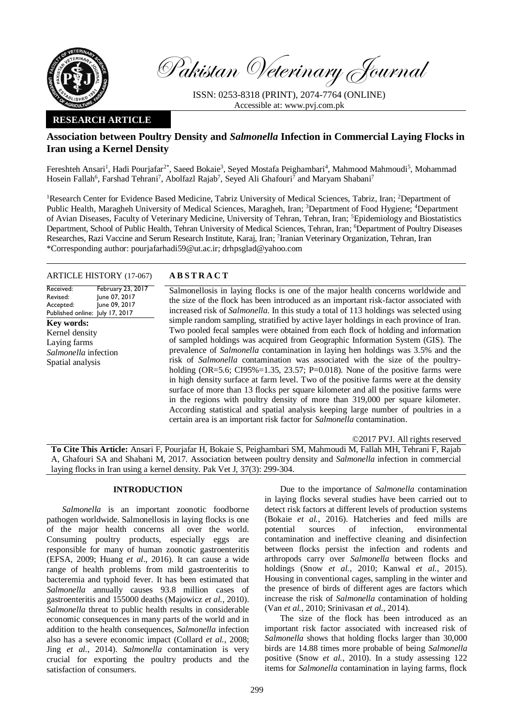

Pakistan Veterinary Journal

ISSN: 0253-8318 (PRINT), 2074-7764 (ONLINE) Accessible at: [www.pvj.com.pk](http://www.pvj.com.pk/)

# **RESEARCH ARTICLE**

# **Association between Poultry Density and** *Salmonella* **Infection in Commercial Laying Flocks in Iran using a Kernel Density**

Fereshteh Ansari<sup>1</sup>, Hadi Pourjafar<sup>2\*</sup>, Saeed Bokaie<sup>3</sup>, Seyed Mostafa Peighambari<sup>4</sup>, Mahmood Mahmoudi<sup>5</sup>, Mohammad Hosein Fallah<sup>6</sup>, Farshad Tehrani<sup>7</sup>, Abolfazl Rajab<sup>7</sup>, Seyed Ali Ghafouri<sup>7</sup> and Maryam Shabani<sup>7</sup>

<sup>1</sup>Research Center for Evidence Based Medicine, Tabriz University of Medical Sciences, Tabriz, Iran; <sup>2</sup>Department of Public Health, Maragheh University of Medical Sciences, Maragheh, Iran; <sup>3</sup>Department of Food Hygiene; <sup>4</sup>Department of Avian Diseases, Faculty of Veterinary Medicine, University of Tehran, Tehran, Iran; <sup>5</sup>Epidemiology and Biostatistics Department, School of Public Health, Tehran University of Medical Sciences, Tehran, Iran; <sup>6</sup>Department of Poultry Diseases Researches, Razi Vaccine and Serum Research Institute, Karaj, Iran; <sup>7</sup>Iranian Veterinary Organization, Tehran, Iran \*Corresponding author: pourjafarhadi59@ut.ac.ir; drhpsglad@yahoo.com

# ARTICLE HISTORY (17-067) **A B S T R A C T**

Received: Revised: Accepted: Published online: July 17, 2017 February 23, 2017 June 07, 2017 June 09, 2017 **Key words:**  Kernel density Laying farms *Salmonella* infection Spatial analysis

Salmonellosis in laying flocks is one of the major health concerns worldwide and the size of the flock has been introduced as an important risk-factor associated with increased risk of *Salmonella*. In this study a total of 113 holdings was selected using simple random sampling, stratified by active layer holdings in each province of Iran. Two pooled fecal samples were obtained from each flock of holding and information of sampled holdings was acquired from Geographic Information System (GIS). The prevalence of *Salmonella* contamination in laying hen holdings was 3.5% and the risk of *Salmonella* contamination was associated with the size of the poultryholding (OR=5.6; CI95%=1.35, 23.57; P=0.018). None of the positive farms were in high density surface at farm level. Two of the positive farms were at the density surface of more than 13 flocks per square kilometer and all the positive farms were in the regions with poultry density of more than 319,000 per square kilometer. According statistical and spatial analysis keeping large number of poultries in a certain area is an important risk factor for *Salmonella* contamination.

©2017 PVJ. All rights reserved

**To Cite This Article:** Ansari F, Pourjafar H, Bokaie S, Peighambari SM, Mahmoudi M, Fallah MH, Tehrani F, Rajab A, Ghafouri SA and Shabani M, 2017. Association between poultry density and *Salmonella* infection in commercial laying flocks in Iran using a kernel density. Pak Vet J, 37(3): 299-304.

# **INTRODUCTION**

*Salmonella* is an important zoonotic foodborne pathogen worldwide. Salmonellosis in laying flocks is one of the major health concerns all over the world. Consuming poultry products, especially eggs are responsible for many of human zoonotic gastroenteritis (EFSA*,* 2009; Huang *et al*., 2016). It can cause a wide range of health problems from mild gastroenteritis to bacteremia and typhoid fever. It has been estimated that *Salmonella* annually causes 93.8 million cases of gastroenteritis and 155000 deaths (Majowicz *et al.*, 2010). *Salmonella* threat to public health results in considerable economic consequences in many parts of the world and in addition to the health consequences, *Salmonella* infection also has a severe economic impact (Collard *et al.*, 2008; Jing *et al.*, 2014). *Salmonella* contamination is very crucial for exporting the poultry products and the satisfaction of consumers.

Due to the importance of *Salmonella* contamination in laying flocks several studies have been carried out to detect risk factors at different levels of production systems (Bokaie *et al.*, 2016). Hatcheries and feed mills are potential sources of infection, environmental contamination and ineffective cleaning and disinfection between flocks persist the infection and rodents and arthropods carry over *Salmonella* between flocks and holdings (Snow *et al.*, 2010; Kanwal *et al.*, 2015). Housing in conventional cages, sampling in the winter and the presence of birds of different ages are factors which increase the risk of *Salmonella* contamination of holding (Van *et al.*, 2010; Srinivasan *et al.*, 2014).

The size of the flock has been introduced as an important risk factor associated with increased risk of *Salmonella* shows that holding flocks larger than 30,000 birds are 14.88 times more probable of being *Salmonella* positive (Snow *et al.*, 2010). In a study assessing 122 items for *Salmonella* contamination in laying farms, flock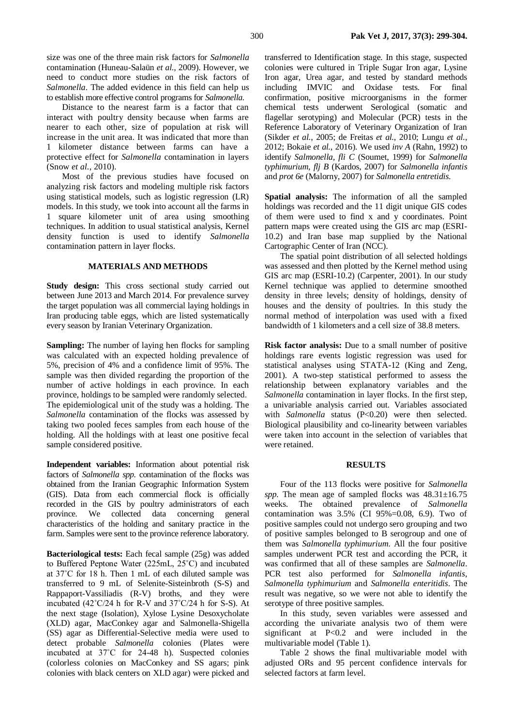Distance to the nearest farm is a factor that can interact with poultry density because when farms are nearer to each other, size of population at risk will increase in the unit area. It was indicated that more than 1 kilometer distance between farms can have a protective effect for *Salmonella* contamination in layers (Snow *et al.*, 2010).

Most of the previous studies have focused on analyzing risk factors and modeling multiple risk factors using statistical models, such as logistic regression (LR) models. In this study, we took into account all the farms in 1 square kilometer unit of area using smoothing techniques. In addition to usual statistical analysis, Kernel density function is used to identify *Salmonella* contamination pattern in layer flocks.

## **MATERIALS AND METHODS**

**Study design:** This cross sectional study carried out between June 2013 and March 2014. For prevalence survey the target population was all commercial laying holdings in Iran producing table eggs, which are listed systematically every season by Iranian Veterinary Organization.

**Sampling:** The number of laying hen flocks for sampling was calculated with an expected holding prevalence of 5%, precision of 4% and a confidence limit of 95%. The sample was then divided regarding the proportion of the number of active holdings in each province. In each province, holdings to be sampled were randomly selected. The epidemiological unit of the study was a holding. The *Salmonella* contamination of the flocks was assessed by taking two pooled feces samples from each house of the holding. All the holdings with at least one positive fecal sample considered positive.

**Independent variables:** Information about potential risk factors of *Salmonella spp.* contamination of the flocks was obtained from the Iranian Geographic Information System (GIS). Data from each commercial flock is officially recorded in the GIS by poultry administrators of each province. We collected data concerning general characteristics of the holding and sanitary practice in the farm. Samples were sent to the province reference laboratory.

**Bacteriological tests:** Each fecal sample (25g) was added to Buffered Peptone Water (225mL, 25˚C) and incubated at 37˚C for 18 h. Then 1 mL of each diluted sample was transferred to 9 mL of Selenite-Sisteinbroth (S-S) and Rappaport-Vassiliadis (R-V) broths, and they were incubated (42˚C/24 h for R-V and 37˚C/24 h for S-S). At the next stage (Isolation), Xylose Lysine Desoxycholate (XLD) agar, MacConkey agar and Salmonella-Shigella (SS) agar as Differential-Selective media were used to detect probable *Salmonella* colonies (Plates were incubated at 37˚C for 24-48 h). Suspected colonies (colorless colonies on MacConkey and SS agars; pink colonies with black centers on XLD agar) were picked and

transferred to Identification stage. In this stage, suspected colonies were cultured in Triple Sugar Iron agar, Lysine Iron agar, Urea agar, and tested by standard methods including IMVIC and Oxidase tests. For final confirmation, positive microorganisms in the former chemical tests underwent Serological (somatic and flagellar serotyping) and Molecular (PCR) tests in the Reference Laboratory of Veterinary Organization of Iran (Sikder *et al.*, 2005; de Freitas *et al.*, 2010; Lungu *et al.*, 2012; Bokaie *et al.*, 2016). We used *inv A* (Rahn, 1992) to identify *Salmonella, fli C* (Soumet, 1999) for *Salmonella typhimurium, flj B* (Kardos, 2007) for *Salmonella infantis* and *prot 6e* (Malorny, 2007) for *Salmonella entretidis*.

**Spatial analysis:** The information of all the sampled holdings was recorded and the 11 digit unique GIS codes of them were used to find x and y coordinates. Point pattern maps were created using the GIS arc map (ESRI-10.2) and Iran base map supplied by the National Cartographic Center of Iran (NCC).

The spatial point distribution of all selected holdings was assessed and then plotted by the Kernel method using GIS arc map (ESRI-10.2) (Carpenter, 2001). In our study Kernel technique was applied to determine smoothed density in three levels; density of holdings, density of houses and the density of poultries. In this study the normal method of interpolation was used with a fixed bandwidth of 1 kilometers and a cell size of 38.8 meters.

**Risk factor analysis:** Due to a small number of positive holdings rare events logistic regression was used for statistical analyses using STATA-12 (King and Zeng, 2001). A two-step statistical performed to assess the relationship between explanatory variables and the *Salmonella* contamination in layer flocks. In the first step, a univariable analysis carried out. Variables associated with *Salmonella* status (P<0.20) were then selected. Biological plausibility and co-linearity between variables were taken into account in the selection of variables that were retained.

### **RESULTS**

Four of the 113 flocks were positive for *Salmonella spp.* The mean age of sampled flocks was 48.31±16.75 weeks. The obtained prevalence of *Salmonella*  contamination was  $3.5\%$  (CI 95%=0.08, 6.9). Two of positive samples could not undergo sero grouping and two of positive samples belonged to B serogroup and one of them was *Salmonella typhimurium*. All the four positive samples underwent PCR test and according the PCR, it was confirmed that all of these samples are *Salmonella*. PCR test also performed for *Salmonella infantis*, *Salmonella typhimurium* and *Salmonella enteritidis*. The result was negative, so we were not able to identify the serotype of three positive samples.

In this study, seven variables were assessed and according the univariate analysis two of them were significant at P<0.2 and were included in the multivariable model (Table 1).

Table 2 shows the final multivariable model with adjusted ORs and 95 percent confidence intervals for selected factors at farm level.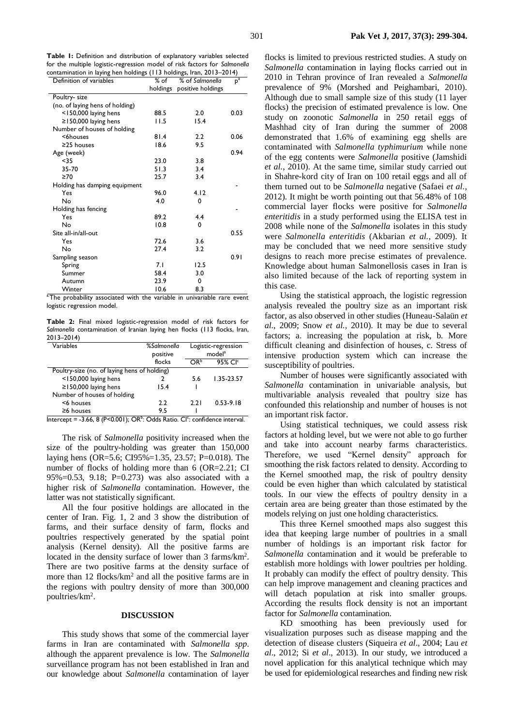**Table 1:** Definition and distribution of explanatory variables selected for the multiple logistic-regression model of risk factors for *Salmonella* contamination in laying hen holdings (113 holdings, Iran, 2013–2014)

| Definition of variables         | % of     | % of Salmonella   | $p^a$ |
|---------------------------------|----------|-------------------|-------|
|                                 | holdings | positive holdings |       |
| Poultry- size                   |          |                   |       |
| (no. of laying hens of holding) |          |                   |       |
| <150,000 laying hens            | 88.5     | 2.0               | 0.03  |
| $\geq$ 150,000 laying hens      | l I.5    | 15.4              |       |
| Number of houses of holding     |          |                   |       |
| <6houses                        | 81.4     | $2.2\phantom{0}$  | 0.06  |
| $\geq$ 25 houses                | 18.6     | 9.5               |       |
| Age (week)                      |          |                   | 0.94  |
| $35$                            | 23.0     | 3.8               |       |
| 35-70                           | 51.3     | 3.4               |       |
| $\geq 70$                       | 25.7     | 3.4               |       |
| Holding has damping equipment   |          |                   |       |
| Yes                             | 96.0     | 4.12              |       |
| No                              | 4.0      | 0                 |       |
| Holding has fencing             |          |                   |       |
| Yes                             | 89.2     | 4.4               |       |
| No                              | 10.8     | 0                 |       |
| Site all-in/all-out             |          |                   | 0.55  |
| Yes                             | 72.6     | 3.6               |       |
| No                              | 27.4     | 3.2               |       |
| Sampling season                 |          |                   | 0.91  |
| Spring                          | 7.1      | 12.5              |       |
| Summer                          | 58.4     | 3.0               |       |
| Autumn                          | 23.9     | 0                 |       |
| Winter                          | 10.6     | 8.3               |       |

<sup>a</sup>The probability associated with the variable in univariable rare event logistic regression model.

**Table 2:** Final mixed logistic-regression model of risk factors for *Salmonella* contamination of Iranian laying hen flocks (113 flocks, Iran, 2013–2014)

| Variables                                    | %Salmonella<br>positive | Logistic-regression<br>model <sup>a</sup> |                     |  |
|----------------------------------------------|-------------------------|-------------------------------------------|---------------------|--|
|                                              | flocks                  | ∩Rʰ                                       | 95% CI <sup>c</sup> |  |
| Poultry-size (no. of laying hens of holding) |                         |                                           |                     |  |
| $<$ 150,000 laying hens                      |                         | 5.6                                       | $1.35 - 23.57$      |  |
| $\geq$ 150,000 laying hens                   | 15.4                    |                                           |                     |  |
| Number of houses of holding                  |                         |                                           |                     |  |
| <6 houses                                    | 22                      | 2.21                                      | $0.53 - 9.18$       |  |
| $\geq 6$ houses                              | 9.5                     |                                           |                     |  |

Intercept =  $-3.66$ , 8 (P<0.001); OR<sup>b</sup>: Odds Ratio. CI<sup>c</sup>: confidence interval.

The risk of *Salmonella* positivity increased when the size of the poultry-holding was greater than 150,000 laying hens (OR=5.6; CI95%=1.35, 23.57; P=0.018). The number of flocks of holding more than 6 (OR=2.21; CI 95%=0.53, 9.18; P=0.273) was also associated with a higher risk of *Salmonella* contamination. However, the latter was not statistically significant.

All the four positive holdings are allocated in the center of Iran. Fig. 1, 2 and 3 show the distribution of farms, and their surface density of farm, flocks and poultries respectively generated by the spatial point analysis (Kernel density). All the positive farms are located in the density surface of lower than 3 farms/km<sup>2</sup>. There are two positive farms at the density surface of more than 12 flocks/km<sup>2</sup> and all the positive farms are in the regions with poultry density of more than 300,000 poultries/km<sup>2</sup>.

#### **DISCUSSION**

This study shows that some of the commercial layer farms in Iran are contaminated with *Salmonella spp*. although the apparent prevalence is low. The *Salmonella*  surveillance program has not been established in Iran and our knowledge about *Salmonella* contamination of layer

flocks is limited to previous restricted studies. A study on *Salmonella* contamination in laying flocks carried out in 2010 in Tehran province of Iran revealed a *Salmonella*  prevalence of 9% (Morshed and Peighambari, 2010). Although due to small sample size of this study (11 layer flocks) the precision of estimated prevalence is low. One study on zoonotic *Salmonella* in 250 retail eggs of Mashhad city of Iran during the summer of 2008 demonstrated that 1.6% of examining egg shells are contaminated with *Salmonella typhimurium* while none of the egg contents were *Salmonella* positive (Jamshidi *et al.*, 2010). At the same time, similar study carried out in Shahre-kord city of Iran on 100 retail eggs and all of them turned out to be *Salmonella* negative (Safaei *et al.*, 2012). It might be worth pointing out that 56.48% of 108 commercial layer flocks were positive for *Salmonella enteritidis* in a study performed using the ELISA test in 2008 while none of the *Salmonella* isolates in this study were *Salmonella enteritidis* (Akbarian *et al.*, 2009). It may be concluded that we need more sensitive study designs to reach more precise estimates of prevalence. Knowledge about human Salmonellosis cases in Iran is also limited because of the lack of reporting system in this case.

Using the statistical approach, the logistic regression analysis revealed the poultry size as an important risk factor, as also observed in other studies (Huneau-Salaün *et al.*, 2009; Snow *et al.*, 2010). It may be due to several factors; a. increasing the population at risk, b. More difficult cleaning and disinfection of houses, c. Stress of intensive production system which can increase the susceptibility of poultries.

Number of houses were significantly associated with *Salmonella* contamination in univariable analysis, but multivariable analysis revealed that poultry size has confounded this relationship and number of houses is not an important risk factor.

Using statistical techniques, we could assess risk factors at holding level, but we were not able to go further and take into account nearby farms characteristics. Therefore, we used "Kernel density" approach for smoothing the risk factors related to density. According to the Kernel smoothed map, the risk of poultry density could be even higher than which calculated by statistical tools. In our view the effects of poultry density in a certain area are being greater than those estimated by the models relying on just one holding characteristics.

This three Kernel smoothed maps also suggest this idea that keeping large number of poultries in a small number of holdings is an important risk factor for *Salmonella* contamination and it would be preferable to establish more holdings with lower poultries per holding. It probably can modify the effect of poultry density. This can help improve management and cleaning practices and will detach population at risk into smaller groups. According the results flock density is not an important factor for *Salmonella* contamination.

KD smoothing has been previously used for visualization purposes such as disease mapping and the detection of disease clusters (Siqueira *et al*., 2004; Lau *et al*., 2012; Si *et al*., 2013). In our study, we introduced a novel application for this analytical technique which may be used for epidemiological researches and finding new risk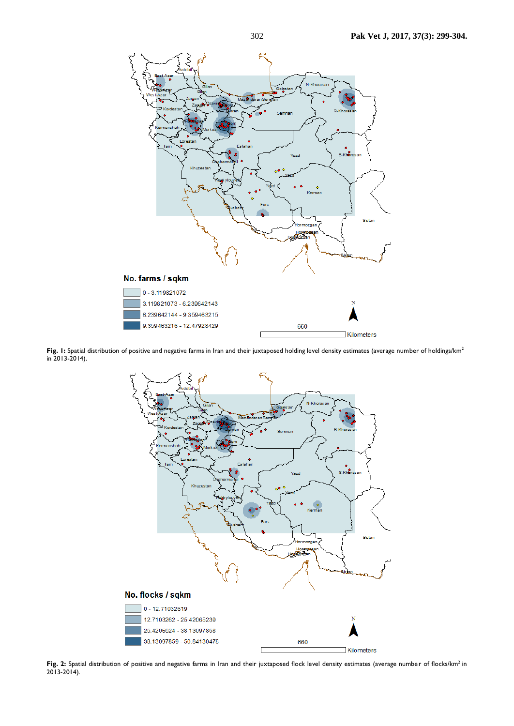

Fig. 1: Spatial distribution of positive and negative farms in Iran and their juxtaposed holding level density estimates (average number of holdings/km<sup>2</sup> in 2013-2014).



Fig. 2: Spatial distribution of positive and negative farms in Iran and their juxtaposed flock level density estimates (average number of flocks/km<sup>2</sup> in 2013-2014).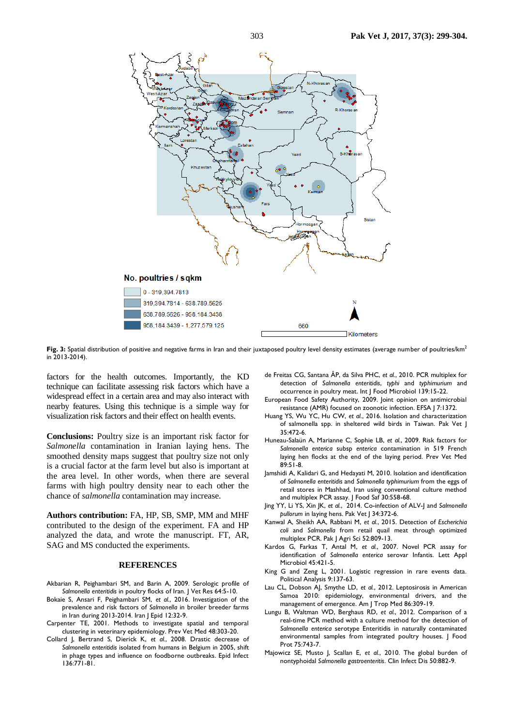

Fig. 3: Spatial distribution of positive and negative farms in Iran and their juxtaposed poultry level density estimates (average number of poultries/km<sup>2</sup> in 2013-2014).

factors for the health outcomes. Importantly, the KD technique can facilitate assessing risk factors which have a widespread effect in a certain area and may also interact with nearby features. Using this technique is a simple way for visualization risk factors and their effect on health events.

**Conclusions:** Poultry size is an important risk factor for *Salmonella* contamination in Iranian laying hens. The smoothed density maps suggest that poultry size not only is a crucial factor at the farm level but also is important at the area level. In other words, when there are several farms with high poultry density near to each other the chance of *salmonella* contamination may increase.

**Authors contribution:** FA, HP, SB, SMP, MM and MHF contributed to the design of the experiment. FA and HP analyzed the data, and wrote the manuscript. FT, AR, SAG and MS conducted the experiments.

#### **REFERENCES**

- Akbarian R, Peighambari SM, and Barin A, 2009. Serologic profile of *Salmonella enteritidis* in poultry flocks of Iran. J Vet Res 64:5-10.
- Bokaie S, Ansari F, Peighambari SM, *et al.*, 2016. Investigation of the prevalence and risk factors of *Salmonella* in broiler breeder farms in Iran during 2013-2014. Iran J Epid 12:32-9.
- Carpenter TE, 2001. Methods to investigate spatial and temporal clustering in veterinary epidemiology. Prev Vet Med 48:303-20.
- Collard J, Bertrand S, Dierick K, *et al.*, 2008. Drastic decrease of *Salmonella enteritidis* isolated from humans in Belgium in 2005, shift in phage types and influence on foodborne outbreaks. Epid Infect 136:771-81.
- de Freitas CG, Santana ÂP, da Silva PHC, *et al.*, 2010. PCR multiplex for detection of *Salmonella enteritidis*, *typhi* and *typhimurium* and occurrence in poultry meat. Int J Food Microbiol 139:15-22.
- European Food Safety Authority, 2009. Joint opinion on antimicrobial resistance (AMR) focused on zoonotic infection. EFSA J 7:1372.
- Huang YS, Wu YC, Hu CW, *et al*., 2016. Isolation and characterization of salmonella spp. in sheltered wild birds in Taiwan. Pak Vet J 35:472-6.
- Huneau-Salaün A, Marianne C, Sophie LB, *et al.*, 2009. Risk factors for *Salmonella enterica* subsp *enterica* contamination in 519 French laying hen flocks at the end of the laying period. Prev Vet Med 89:51-8.
- Jamshidi A, Kalidari G, and Hedayati M, 2010. Isolation and identification of *Salmonella enteritidis* and *Salmonella typhimurium* from the eggs of retail stores in Mashhad, Iran using conventional culture method and multiplex PCR assay. J Food Saf 30:558-68.
- Jing YY, Li YS, Xin JK, *et al.*, 2014. Co-infection of ALV-J and *Salmonella pullorum* in laying hens. Pak Vet J 34:372-6.
- Kanwal A, Sheikh AA, Rabbani M, *et al.*, 2015. Detection of *Escherichia coli* and *Salmonella* from retail quail meat through optimized multiplex PCR. Pak J Agri Sci 52:809-13.
- Kardos G, Farkas T, Antal M, *et al.*, 2007. Novel PCR assay for identification of *Salmonella enterica* serovar Infantis. Lett Appl Microbiol 45:421-5.
- King G and Zeng L, 2001. Logistic regression in rare events data. Political Analysis 9:137-63.
- Lau CL, Dobson AJ, Smythe LD, *et al.*, 2012. Leptosirosis in American Samoa 2010: epidemiology, environmental drivers, and the management of emergence. Am J Trop Med 86:309-19.
- Lungu B, Waltman WD, Berghaus RD, *et al.*, 2012. Comparison of a real-time PCR method with a culture method for the detection of *Salmonella enterica* serotype Enteritidis in naturally contaminated environmental samples from integrated poultry houses. J Food Prot 75:743-7.
- Majowicz SE, Musto J, Scallan E, *et al.*, 2010. The global burden of nontyphoidal *Salmonella gastroenteritis*. Clin Infect Dis 50:882-9.